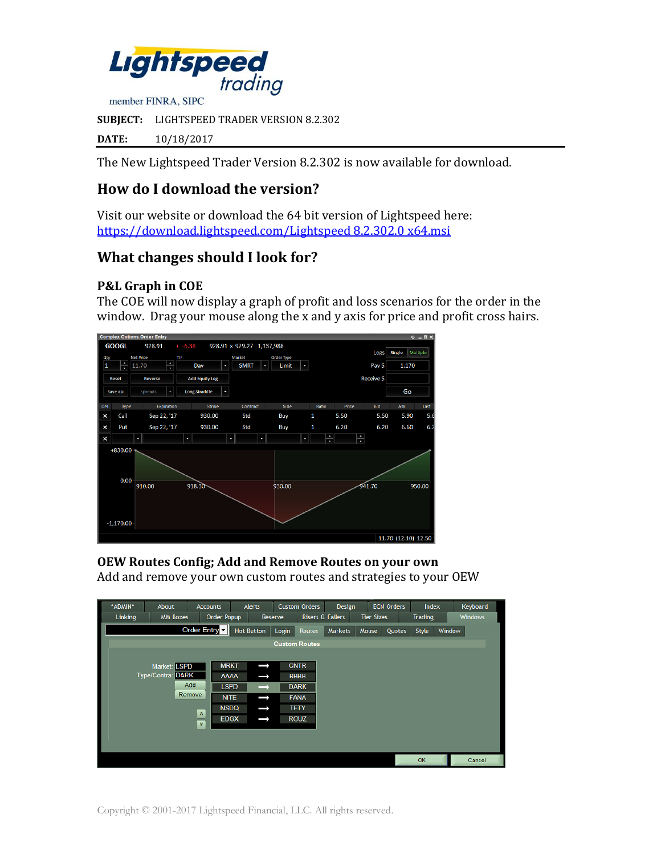

**SUBJECT:** LIGHTSPEED TRADER VERSION 8.2.302

**DATE:** 10/18/2017

The New Lightspeed Trader Version 8.2.302 is now available for download.

# **How do I download the version?**

Visit our website or download the 64 bit version of Lightspeed here: [https://download.lightspeed.com/Lightspeed 8.2.302.0 x64.msi](https://download.lightspeed.com/Lightspeed%208.2.302.0%20x64.msi)

## **What changes should I look for?**

#### **P&L Graph in COE**

The COE will now display a graph of profit and loss scenarios for the order in the window. Drag your mouse along the x and y axis for price and profit cross hairs.



**OEW Routes Config; Add and Remove Routes on your own** Add and remove your own custom routes and strategies to your OEW

| *ADMIN* | About                       | <b>Accounts</b> |             | <b>Alerts</b>     |         | <b>Custom Orders</b>        | Design         |                   | <b>ECN Orders</b> | Index          |        | Keyboard       |
|---------|-----------------------------|-----------------|-------------|-------------------|---------|-----------------------------|----------------|-------------------|-------------------|----------------|--------|----------------|
| Linking | <b>MM Boxes</b>             |                 | Order Popup |                   | Reserve | <b>Risers &amp; Fallers</b> |                | <b>Tier Sizes</b> |                   | <b>Trading</b> |        | <b>Windows</b> |
|         |                             | Order Entry     |             | <b>Hot Button</b> | Login   | <b>Routes</b>               | <b>Markets</b> | Mouse             | Quotes            | Style          | Window |                |
|         |                             |                 |             |                   |         | <b>Custom Routes</b>        |                |                   |                   |                |        |                |
|         |                             |                 |             |                   |         |                             |                |                   |                   |                |        |                |
|         | Market: LSPD                |                 | <b>MRKT</b> | Î                 |         | <b>CNTR</b>                 |                |                   |                   |                |        |                |
|         | <b>DARK</b><br>Type/Contra: |                 | <b>AAAA</b> | $\rightarrow$     |         | <b>BBBB</b>                 |                |                   |                   |                |        |                |
|         |                             | Add             | <b>LSPD</b> | $\rightarrow$     |         | <b>DARK</b>                 |                |                   |                   |                |        |                |
|         |                             | Remove          | <b>NITE</b> | ſ                 |         | <b>FANA</b>                 |                |                   |                   |                |        |                |
|         |                             | $\Lambda$       | <b>NSDQ</b> | Î                 |         | <b>TFTY</b>                 |                |                   |                   |                |        |                |
|         |                             | $\mathbf{v}$    | <b>EDGX</b> | ━                 |         | <b>ROUZ</b>                 |                |                   |                   |                |        |                |
|         |                             |                 |             |                   |         |                             |                |                   |                   |                |        |                |
|         |                             |                 |             |                   |         |                             |                |                   |                   |                |        |                |
|         |                             |                 |             |                   |         |                             |                |                   |                   | OK             |        | Cancel         |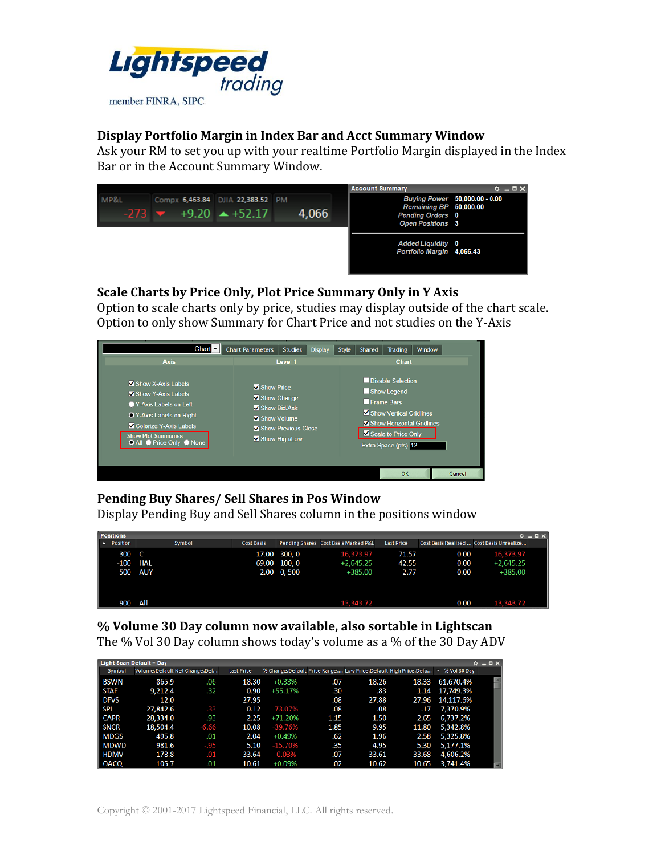

#### **Display Portfolio Margin in Index Bar and Acct Summary Window**

Ask your RM to set you up with your realtime Portfolio Margin displayed in the Index Bar or in the Account Summary Window.



### **Scale Charts by Price Only, Plot Price Summary Only in Y Axis**

Option to scale charts only by price, studies may display outside of the chart scale. Option to only show Summary for Chart Price and not studies on the Y-Axis

| Chart $\nabla$                                                                                                                                                                       | <b>Chart Parameters</b>                                                   | <b>Studies</b>      | Display | Style | <b>Shared</b> | <b>Trading</b>                                                                                                                          | Window |  |
|--------------------------------------------------------------------------------------------------------------------------------------------------------------------------------------|---------------------------------------------------------------------------|---------------------|---------|-------|---------------|-----------------------------------------------------------------------------------------------------------------------------------------|--------|--|
| <b>Axis</b>                                                                                                                                                                          |                                                                           | Level 1             |         |       |               | <b>Chart</b>                                                                                                                            |        |  |
| Show X-Axis Labels<br>Show Y-Axis Labels<br>● Y-Axis Labels on Left<br>O Y-Axis Labels on Right<br>Colorize Y-Axis Labels<br><b>Show Plot Summaries</b><br>● All ● Price Only ● None | Show Price<br>Show Change<br>Show Bid/Ask<br>Show Volume<br>Show High/Low | Show Previous Close |         |       | Frame Bars    | Disable Selection<br>Show Legend<br>Show Vertical Gridlines<br>Show Horizontal Gridlines<br>Scale to Price Only<br>Extra Space (pts) 12 |        |  |
|                                                                                                                                                                                      |                                                                           |                     |         |       |               | OK                                                                                                                                      | Cancel |  |

## **Pending Buy Shares/ Sell Shares in Pos Window**

Display Pending Buy and Sell Shares column in the positions window

| <b>Positions</b>               |            |                   |              |                                      |                   |      |                                           | $0 - EX$ |
|--------------------------------|------------|-------------------|--------------|--------------------------------------|-------------------|------|-------------------------------------------|----------|
| $\ $ $\blacktriangle$ Position | Symbol     | <b>Cost Basis</b> |              | Pending Shares Cost Basis Marked P&L | <b>Last Price</b> |      | Cost Basis Realized  Cost Basis Unrealize |          |
| $-300$ C                       |            |                   | 17.00 300, 0 | $-16,373.97$                         | 71.57             | 0.00 | $-16,373.97$                              |          |
| $-100$                         | <b>HAL</b> |                   | 69.00 100, 0 | $+2,645.25$                          | 42.55             | 0.00 | $+2,645.25$                               |          |
| 500                            | <b>AUY</b> |                   | 2.00 0,500   | +385.00                              | 2.77              | 0.00 | +385.00                                   |          |
| 900                            | All        |                   |              | $-13,343,72$                         |                   | 0.00 | $-13,343.72$                              |          |

**% Volume 30 Day column now available, also sortable in Lightscan** The % Vol 30 Day column shows today's volume as a % of the 30 Day ADV

|             | <b>Light Scan Default = Day</b> |                               |                   |           |      |       |                                                                 |                                   | $O = D \times$ |
|-------------|---------------------------------|-------------------------------|-------------------|-----------|------|-------|-----------------------------------------------------------------|-----------------------------------|----------------|
| Symbol      |                                 | Volume:Default Net Change:Def | <b>Last Price</b> |           |      |       | % Change:Default Price Range: Low Price:Default High Price:Defa | $\blacktriangledown$ % Vol 30 Dav |                |
| i bswn      | 865.9                           | .06                           | 18.30             | $+0.33%$  | .07  | 18.26 | 18.33                                                           | 61,670.4%                         |                |
| <b>STAF</b> | 9,212.4                         | .32                           | 0.90              | $+55.17%$ | .30  | .83   | 1.14                                                            | 17,749.3%                         |                |
| <b>DFVS</b> | 12.0                            |                               | 27.95             |           | .08  | 27.88 | 27.96                                                           | 14,117.6%                         |                |
| <b>SPI</b>  | 27,842.6                        | $-.33$                        | 0.12              | -73.07%   | .08  | .08   | .17                                                             | 7,370.9%                          |                |
| <b>CAPR</b> | 28,334.0                        | .93                           | 2.25              | +71.20%   | 1.15 | 1.50  | 2.65                                                            | 6,737.2%                          |                |
| <b>SNCR</b> | 18,504.4                        | $-6.66$                       | 10.08             | $-39.76%$ | 1.85 | 9.95  | 11.80                                                           | 5,342.8%                          |                |
| <b>MDGS</b> | 495.8                           | .01                           | 2.04              | $+0.49%$  | .62  | 1.96  | 2.58                                                            | 5,325.8%                          |                |
| <b>MDWD</b> | 981.6                           | .95                           | 5.10              | $-15.70%$ | .35  | 4.95  | 5.30                                                            | 5.177.1%                          |                |
| <b>HDMV</b> | 178.8                           | -.01                          | 33.64             | $-0.03%$  | .07  | 33.61 | 33.68                                                           | 4,606.2%                          |                |
| OACQ        | 105.7                           | .01                           | 10.61             | $+0.09%$  | .02  | 10.62 | 10.65                                                           | 3,741.4%                          |                |